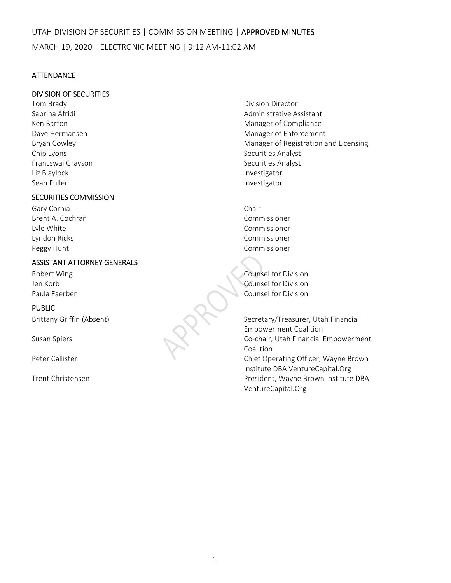## **ATTENDANCE**

### DIVISION OF SECURITIES

Tom Brady **The Brady Contract of Contract Contract Contract Contract Contract Contract Contract Contract Contract Contract Contract Contract Contract Contract Contract Contract Contract Contract Contract Contract Contract** Chip Lyons **Chip Lyons Securities Analyst** Francswai Grayson **Brancswai Grayson Exercise Securities Analyst** Liz Blaylock **Contract Contract Contract Contract Contract Contract Contract Contract Contract Contract Contract Contract Contract Contract Contract Contract Contract Contract Contract Contract Contract Contract Contract C** Sean Fuller Investigator

## SECURITIES COMMISSION

Gary Cornia **Chair** Brent A. Cochran Commissioner Lyle White Commissioner Lyndon Ricks Commissioner Peggy Hunt **Commissioner** 

## ASSISTANT ATTORNEY GENERALS

## PUBLIC

Sabrina Afridi Administrative Assistant Ken Barton Manager of Compliance Dave Hermansen **Manager of Enforcement Contract Contract Contract Contract Contract Contract Contract Contract Contract Contract Contract Contract Contract Contract Contract Contract Contract Contract Contract Contract** Bryan Cowley *Bryan Cowley*  **1999 1999 Manager of Registration and Licensing** 

Robert Wing **Notifiable 2018** Counsel for Division Jen Korb Counsel for Division Paula Faerber Counsel for Division

Brittany Griffin (Absent) Secretary/Treasurer, Utah Financial Empowerment Coalition Susan Spiers Co‐chair, Utah Financial Empowerment Coalition Peter Callister **The Callister Callister Callister Callister** Callister Callister Callister Callister Callister Institute DBA VentureCapital.Org Trent Christensen President, Wayne Brown Institute DBA VentureCapital.Org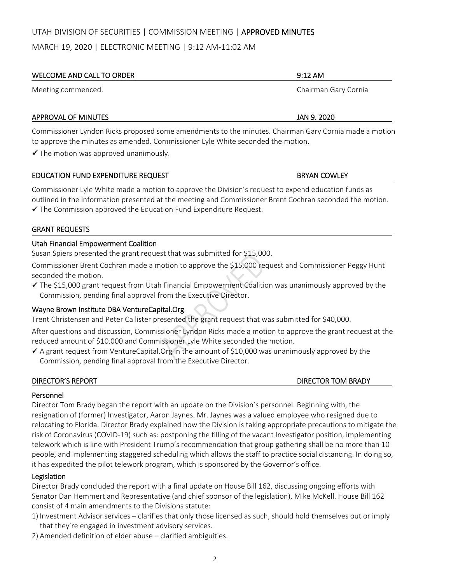## UTAH DIVISION OF SECURITIES | COMMISSION MEETING | APPROVED MINUTES

MARCH 19, 2020 | ELECTRONIC MEETING | 9:12 AM‐11:02 AM

# WELCOME AND CALL TO ORDER **SAMPLING AND CALL TO ORDER 19:12 AM** Meeting commenced. Chairman Gary Cornia

### APPROVAL OF MINUTES **ALL 2020** SERVICES AND A SERVICE OF MINUTES

Commissioner Lyndon Ricks proposed some amendments to the minutes. Chairman Gary Cornia made a motion to approve the minutes as amended. Commissioner Lyle White seconded the motion.

 $\checkmark$  The motion was approved unanimously.

## EDUCATION FUND EXPENDITURE REQUEST **BRYAN COWLEY**

Commissioner Lyle White made a motion to approve the Division's request to expend education funds as outlined in the information presented at the meeting and Commissioner Brent Cochran seconded the motion.

 $\checkmark$  The Commission approved the Education Fund Expenditure Request.

### GRANT REQUESTS

### Utah Financial Empowerment Coalition

Susan Spiers presented the grant request that was submitted for \$15,000.

Commissioner Brent Cochran made a motion to approve the \$15,000 request and Commissioner Peggy Hunt seconded the motion.

 $\checkmark$  The \$15,000 grant request from Utah Financial Empowerment Coalition was unanimously approved by the Commission, pending final approval from the Executive Director.

## Wayne Brown Institute DBA VentureCapital.Org

Trent Christensen and Peter Callister presented the grant request that was submitted for \$40,000.

After questions and discussion, Commissioner Lyndon Ricks made a motion to approve the grant request at the reduced amount of \$10,000 and Commissioner Lyle White seconded the motion.

 $\checkmark$  A grant request from VentureCapital.Org in the amount of \$10,000 was unanimously approved by the Commission, pending final approval from the Executive Director.

#### DIRECTOR'S REPORT DIRECTOR TOM BRADY

## Personnel

Director Tom Brady began the report with an update on the Division's personnel. Beginning with, the resignation of (former) Investigator, Aaron Jaynes. Mr. Jaynes was a valued employee who resigned due to relocating to Florida. Director Brady explained how the Division is taking appropriate precautions to mitigate the risk of Coronavirus (COVID‐19) such as: postponing the filling of the vacant Investigator position, implementing telework which is line with President Trump's recommendation that group gathering shall be no more than 10 people, and implementing staggered scheduling which allows the staff to practice social distancing. In doing so, it has expedited the pilot telework program, which is sponsored by the Governor's office.

#### Legislation

Director Brady concluded the report with a final update on House Bill 162, discussing ongoing efforts with Senator Dan Hemmert and Representative (and chief sponsor of the legislation), Mike McKell. House Bill 162 consist of 4 main amendments to the Divisions statute:

- 1) Investment Advisor services clarifies that only those licensed as such, should hold themselves out or imply that they're engaged in investment advisory services.
- 2) Amended definition of elder abuse clarified ambiguities.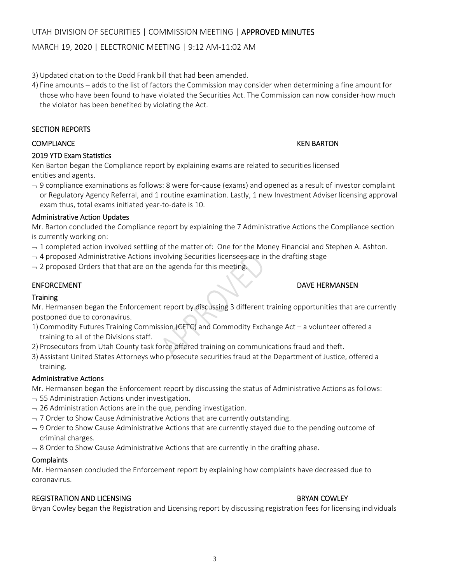## MARCH 19, 2020 | ELECTRONIC MEETING | 9:12 AM‐11:02 AM

- 3) Updated citation to the Dodd Frank bill that had been amended.
- 4) Fine amounts adds to the list of factors the Commission may consider when determining a fine amount for those who have been found to have violated the Securities Act. The Commission can now consider how much the violator has been benefited by violating the Act.

### SECTION REPORTS

## 2019 YTD Exam Statistics

Ken Barton began the Compliance report by explaining exams are related to securities licensed entities and agents.

 9 compliance examinations as follows: 8 were for‐cause (exams) and opened as a result of investor complaint or Regulatory Agency Referral, and 1 routine examination. Lastly, 1 new Investment Adviser licensing approval exam thus, total exams initiated year‐to‐date is 10.

### Administrative Action Updates

Mr. Barton concluded the Compliance report by explaining the 7 Administrative Actions the Compliance section is currently working on:

- $-1$  completed action involved settling of the matter of: One for the Money Financial and Stephen A. Ashton.
- $-4$  proposed Administrative Actions involving Securities licensees are in the drafting stage
- $-$  2 proposed Orders that that are on the agenda for this meeting.

## ENFORCEMENT DAVE HERMANSEN

## **Training**

Mr. Hermansen began the Enforcement report by discussing 3 different training opportunities that are currently postponed due to coronavirus.

- 1) Commodity Futures Training Commission (CFTC) and Commodity Exchange Act a volunteer offered a training to all of the Divisions staff.
- 2) Prosecutors from Utah County task force offered training on communications fraud and theft.
- 3) Assistant United States Attorneys who prosecute securities fraud at the Department of Justice, offered a training.

#### Administrative Actions

Mr. Hermansen began the Enforcement report by discussing the status of Administrative Actions as follows:

- $-$  55 Administration Actions under investigation.
- $-$  26 Administration Actions are in the que, pending investigation.
- $-$  7 Order to Show Cause Administrative Actions that are currently outstanding.
- $-9$  Order to Show Cause Administrative Actions that are currently stayed due to the pending outcome of criminal charges.
- $-8$  Order to Show Cause Administrative Actions that are currently in the drafting phase.

#### **Complaints**

Mr. Hermansen concluded the Enforcement report by explaining how complaints have decreased due to coronavirus.

## REGISTRATION AND LICENSING BRYAN COWLEY

Bryan Cowley began the Registration and Licensing report by discussing registration fees for licensing individuals

#### COMPLIANCE KEN BARTON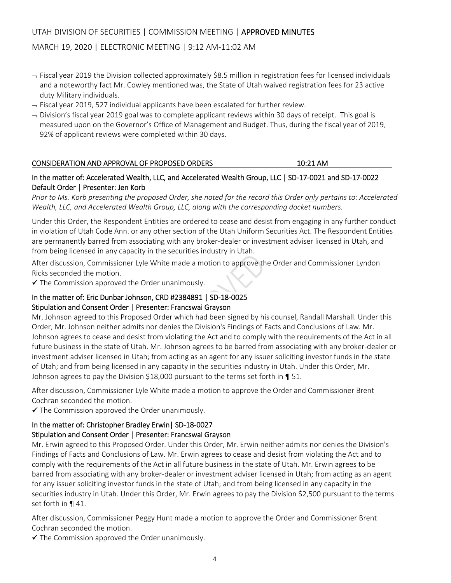## UTAH DIVISION OF SECURITIES | COMMISSION MEETING | APPROVED MINUTES

## MARCH 19, 2020 | ELECTRONIC MEETING | 9:12 AM‐11:02 AM

- $-$  Fiscal year 2019 the Division collected approximately \$8.5 million in registration fees for licensed individuals and a noteworthy fact Mr. Cowley mentioned was, the State of Utah waived registration fees for 23 active duty Military individuals.
- $-$  Fiscal year 2019, 527 individual applicants have been escalated for further review.
- $\rightarrow$  Division's fiscal year 2019 goal was to complete applicant reviews within 30 days of receipt. This goal is measured upon on the Governor's Office of Management and Budget. Thus, during the fiscal year of 2019, 92% of applicant reviews were completed within 30 days.

#### CONSIDERATION AND APPROVAL OF PROPOSED ORDERS 10:21 AM

### In the matter of: Accelerated Wealth, LLC, and Accelerated Wealth Group, LLC | SD-17-0021 and SD-17-0022 Default Order | Presenter: Jen Korb

Prior to Ms. Korb presenting the proposed Order, she noted for the record this Order only pertains to: Accelerated *Wealth, LLC, and Accelerated Wealth Group, LLC, along with the corresponding docket numbers.*

Under this Order, the Respondent Entities are ordered to cease and desist from engaging in any further conduct in violation of Utah Code Ann. or any other section of the Utah Uniform Securities Act. The Respondent Entities are permanently barred from associating with any broker‐dealer or investment adviser licensed in Utah, and from being licensed in any capacity in the securities industry in Utah.

After discussion, Commissioner Lyle White made a motion to approve the Order and Commissioner Lyndon Ricks seconded the motion.

 $\checkmark$  The Commission approved the Order unanimously.

# In the matter of: Eric Dunbar Johnson, CRD #2384891 | SD‐18‐0025

## Stipulation and Consent Order | Presenter: Francswai Grayson

Mr. Johnson agreed to this Proposed Order which had been signed by his counsel, Randall Marshall. Under this Order, Mr. Johnson neither admits nor denies the Division's Findings of Facts and Conclusions of Law. Mr. Johnson agrees to cease and desist from violating the Act and to comply with the requirements of the Act in all future business in the state of Utah. Mr. Johnson agrees to be barred from associating with any broker‐dealer or investment adviser licensed in Utah; from acting as an agent for any issuer soliciting investor funds in the state of Utah; and from being licensed in any capacity in the securities industry in Utah. Under this Order, Mr. Johnson agrees to pay the Division \$18,000 pursuant to the terms set forth in ¶ 51.

After discussion, Commissioner Lyle White made a motion to approve the Order and Commissioner Brent Cochran seconded the motion.

 $\checkmark$  The Commission approved the Order unanimously.

# In the matter of: Christopher Bradley Erwin| SD‐18‐0027

#### Stipulation and Consent Order | Presenter: Francswai Grayson

Mr. Erwin agreed to this Proposed Order. Under this Order, Mr. Erwin neither admits nor denies the Division's Findings of Facts and Conclusions of Law. Mr. Erwin agrees to cease and desist from violating the Act and to comply with the requirements of the Act in all future business in the state of Utah. Mr. Erwin agrees to be barred from associating with any broker‐dealer or investment adviser licensed in Utah; from acting as an agent for any issuer soliciting investor funds in the state of Utah; and from being licensed in any capacity in the securities industry in Utah. Under this Order, Mr. Erwin agrees to pay the Division \$2,500 pursuant to the terms set forth in **¶** 41.

After discussion, Commissioner Peggy Hunt made a motion to approve the Order and Commissioner Brent Cochran seconded the motion.

 $\checkmark$  The Commission approved the Order unanimously.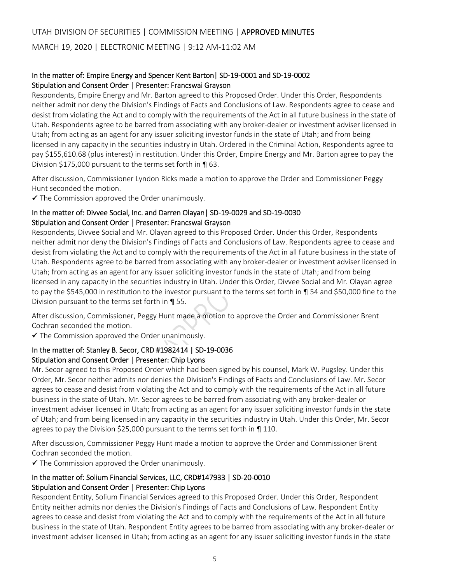## In the matter of: Empire Energy and Spencer Kent Barton| SD‐19‐0001 and SD‐19‐0002 Stipulation and Consent Order | Presenter: Francswai Grayson

Respondents, Empire Energy and Mr. Barton agreed to this Proposed Order. Under this Order, Respondents neither admit nor deny the Division's Findings of Facts and Conclusions of Law. Respondents agree to cease and desist from violating the Act and to comply with the requirements of the Act in all future business in the state of Utah. Respondents agree to be barred from associating with any broker‐dealer or investment adviser licensed in Utah; from acting as an agent for any issuer soliciting investor funds in the state of Utah; and from being licensed in any capacity in the securities industry in Utah. Ordered in the Criminal Action, Respondents agree to pay \$155,610.68 (plus interest) in restitution. Under this Order, Empire Energy and Mr. Barton agree to pay the Division \$175,000 pursuant to the terms set forth in ¶ 63.

After discussion, Commissioner Lyndon Ricks made a motion to approve the Order and Commissioner Peggy Hunt seconded the motion.

 $\checkmark$  The Commission approved the Order unanimously.

## In the matter of: Divvee Social, Inc. and Darren Olayan| SD‐19‐0029 and SD‐19‐0030 Stipulation and Consent Order | Presenter: Francswai Grayson

Respondents, Divvee Social and Mr. Olayan agreed to this Proposed Order. Under this Order, Respondents neither admit nor deny the Division's Findings of Facts and Conclusions of Law. Respondents agree to cease and desist from violating the Act and to comply with the requirements of the Act in all future business in the state of Utah. Respondents agree to be barred from associating with any broker‐dealer or investment adviser licensed in Utah; from acting as an agent for any issuer soliciting investor funds in the state of Utah; and from being licensed in any capacity in the securities industry in Utah. Under this Order, Divvee Social and Mr. Olayan agree to pay the \$545,000 in restitution to the investor pursuant to the terms set forth in ¶ 54 and \$50,000 fine to the Division pursuant to the terms set forth in ¶ 55.

After discussion, Commissioner, Peggy Hunt made a motion to approve the Order and Commissioner Brent Cochran seconded the motion.

The Commission approved the Order unanimously.

## In the matter of: Stanley B. Secor, CRD #1982414 | SD‐19‐0036 Stipulation and Consent Order | Presenter: Chip Lyons

Mr. Secor agreed to this Proposed Order which had been signed by his counsel, Mark W. Pugsley. Under this Order, Mr. Secor neither admits nor denies the Division's Findings of Facts and Conclusions of Law. Mr. Secor agrees to cease and desist from violating the Act and to comply with the requirements of the Act in all future business in the state of Utah. Mr. Secor agrees to be barred from associating with any broker‐dealer or investment adviser licensed in Utah; from acting as an agent for any issuer soliciting investor funds in the state of Utah; and from being licensed in any capacity in the securities industry in Utah. Under this Order, Mr. Secor agrees to pay the Division \$25,000 pursuant to the terms set forth in ¶ 110.

After discussion, Commissioner Peggy Hunt made a motion to approve the Order and Commissioner Brent Cochran seconded the motion.

 $\checkmark$  The Commission approved the Order unanimously.

## In the matter of: Solium Financial Services, LLC, CRD#147933 | SD‐20‐0010 Stipulation and Consent Order | Presenter: Chip Lyons

Respondent Entity, Solium Financial Services agreed to this Proposed Order. Under this Order, Respondent Entity neither admits nor denies the Division's Findings of Facts and Conclusions of Law. Respondent Entity agrees to cease and desist from violating the Act and to comply with the requirements of the Act in all future business in the state of Utah. Respondent Entity agrees to be barred from associating with any broker‐dealer or investment adviser licensed in Utah; from acting as an agent for any issuer soliciting investor funds in the state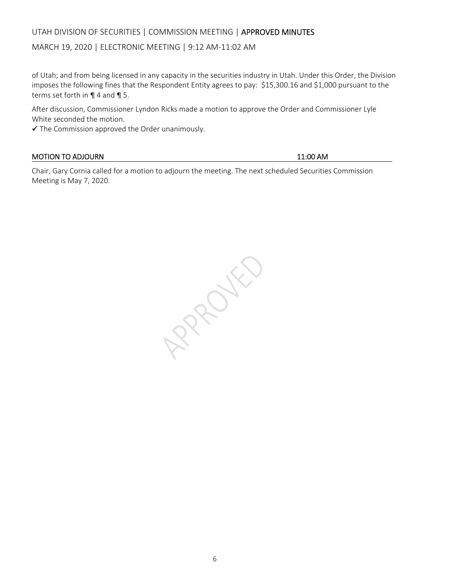## UTAH DIVISION OF SECURITIES | COMMISSION MEETING | APPROVED MINUTES

### MARCH 19, 2020 | ELECTRONIC MEETING | 9:12 AM‐11:02 AM

of Utah; and from being licensed in any capacity in the securities industry in Utah. Under this Order, the Division imposes the following fines that the Respondent Entity agrees to pay: \$15,300.16 and \$1,000 pursuant to the terms set forth in ¶ 4 and ¶ 5.

After discussion, Commissioner Lyndon Ricks made a motion to approve the Order and Commissioner Lyle White seconded the motion.

The Commission approved the Order unanimously.

## MOTION TO ADJOURN **11:00 AM**

Chair, Gary Cornia called for a motion to adjourn the meeting. The next scheduled Securities Commission Meeting is May 7, 2020.

RAPOKE